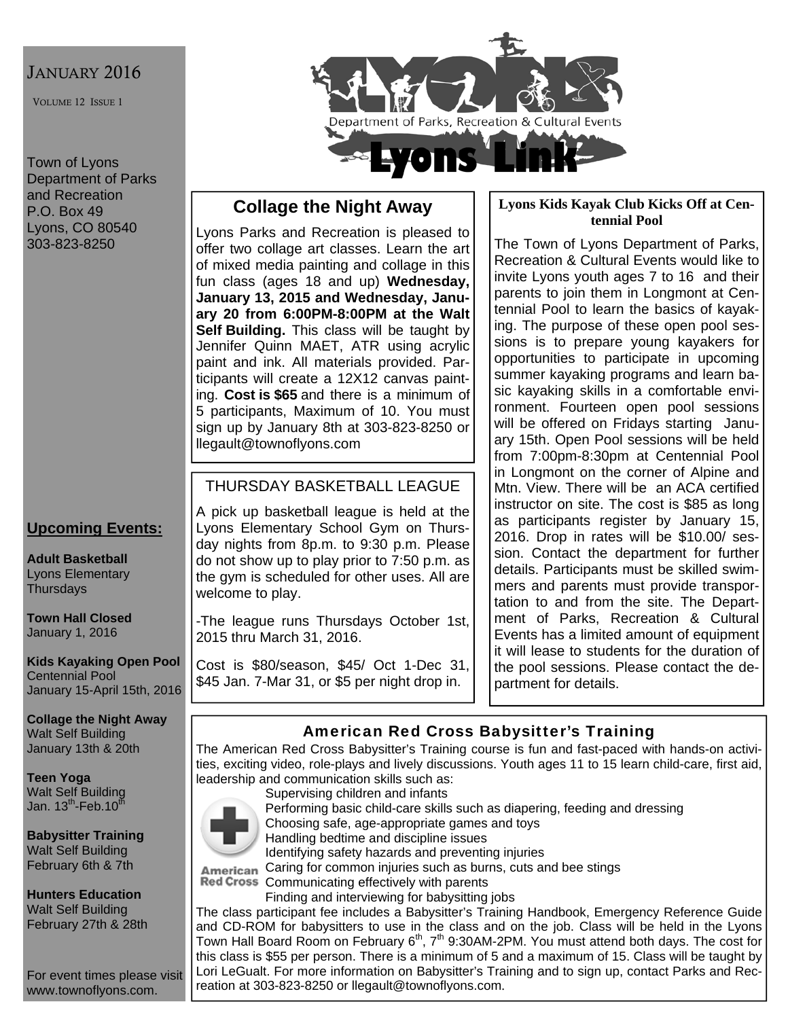## JANUARY 2016

VOLUME 12 ISSUE 1

Town of Lyons Department of Parks and Recreation P.O. Box 49 Lyons, CO 80540 303-823-8250

## **Upcoming Events:**

**Adult Basketball**  Lyons Elementary **Thursdays** 

**Town Hall Closed**  January 1, 2016

**Kids Kayaking Open Pool**  Centennial Pool January 15-April 15th, 2016

**Collage the Night Away**  Walt Self Building January 13th & 20th

**Teen Yoga**  Walt Self Building Jan. 13<sup>th</sup>-Feb.10<sup>th</sup>

**Babysitter Training**  Walt Self Building February 6th & 7th

**Hunters Education**  Walt Self Building February 27th & 28th

For event times please visit www.townoflyons.com.



# **Collage the Night Away**

Lyons Parks and Recreation is pleased to offer two collage art classes. Learn the art of mixed media painting and collage in this fun class (ages 18 and up) **Wednesday, January 13, 2015 and Wednesday, January 20 from 6:00PM-8:00PM at the Walt Self Building.** This class will be taught by Jennifer Quinn MAET, ATR using acrylic paint and ink. All materials provided. Participants will create a 12X12 canvas painting. **Cost is \$65** and there is a minimum of 5 participants, Maximum of 10. You must sign up by January 8th at 303-823-8250 or llegault@townoflyons.com

## THURSDAY BASKETBALL LEAGUE

A pick up basketball league is held at the Lyons Elementary School Gym on Thursday nights from 8p.m. to 9:30 p.m. Please do not show up to play prior to 7:50 p.m. as the gym is scheduled for other uses. All are welcome to play.

-The league runs Thursdays October 1st, 2015 thru March 31, 2016.

Cost is \$80/season, \$45/ Oct 1-Dec 31, \$45 Jan. 7-Mar 31, or \$5 per night drop in.

#### **Lyons Kids Kayak Club Kicks Off at Centennial Pool**

The Town of Lyons Department of Parks, Recreation & Cultural Events would like to invite Lyons youth ages 7 to 16 and their parents to join them in Longmont at Centennial Pool to learn the basics of kayaking. The purpose of these open pool sessions is to prepare young kayakers for opportunities to participate in upcoming summer kayaking programs and learn basic kayaking skills in a comfortable environment. Fourteen open pool sessions will be offered on Fridays starting January 15th. Open Pool sessions will be held from 7:00pm-8:30pm at Centennial Pool in Longmont on the corner of Alpine and Mtn. View. There will be an ACA certified instructor on site. The cost is \$85 as long as participants register by January 15, 2016. Drop in rates will be \$10.00/ session. Contact the department for further details. Participants must be skilled swimmers and parents must provide transportation to and from the site. The Department of Parks, Recreation & Cultural Events has a limited amount of equipment it will lease to students for the duration of the pool sessions. Please contact the department for details.

# American Red Cross Babysitter's Training

The American Red Cross Babysitter's Training course is fun and fast-paced with hands-on activities, exciting video, role-plays and lively discussions. Youth ages 11 to 15 learn child-care, first aid, leadership and communication skills such as:



Supervising children and infants

Performing basic child-care skills such as diapering, feeding and dressing

Choosing safe, age-appropriate games and toys

Handling bedtime and discipline issues Identifying safety hazards and preventing injuries

American Caring for common injuries such as burns, cuts and bee stings

Red Cross Communicating effectively with parents

Finding and interviewing for babysitting jobs

The class participant fee includes a Babysitter's Training Handbook, Emergency Reference Guide and CD-ROM for babysitters to use in the class and on the job. Class will be held in the Lyons Town Hall Board Room on February  $6<sup>th</sup>$ , 7<sup>th</sup> 9:30AM-2PM. You must attend both days. The cost for this class is \$55 per person. There is a minimum of 5 and a maximum of 15. Class will be taught by Lori LeGualt. For more information on Babysitter's Training and to sign up, contact Parks and Recreation at 303-823-8250 or llegault@townoflyons.com.